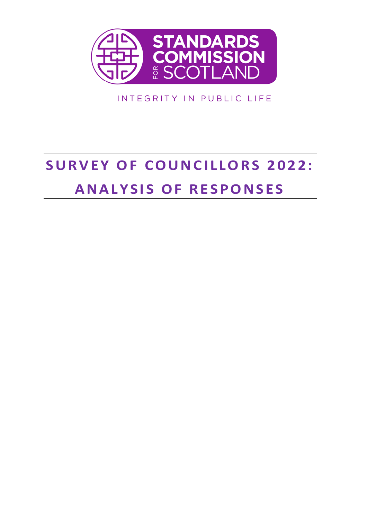

INTEGRITY IN PUBLIC LIFE

# **SURVEY OF COUNCILLORS 2022: ANALYSIS OF RESPONSES**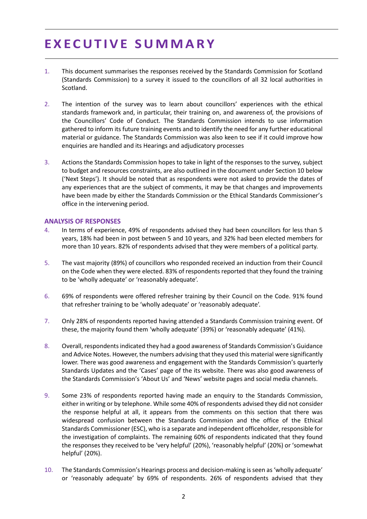# **E X E C U T I V E S U M M A R Y**

- 1. This document summarises the responses received by the Standards Commission for Scotland (Standards Commission) to a survey it issued to the councillors of all 32 local authorities in Scotland.
- 2. The intention of the survey was to learn about councillors' experiences with the ethical standards framework and, in particular, their training on, and awareness of, the provisions of the Councillors' Code of Conduct. The Standards Commission intends to use information gathered to inform its future training events and to identify the need for any further educational material or guidance. The Standards Commission was also keen to see if it could improve how enquiries are handled and its Hearings and adjudicatory processes
- 3. Actions the Standards Commission hopes to take in light of the responses to the survey, subject to budget and resources constraints, are also outlined in the document under Section 10 below ('Next Steps'). It should be noted that as respondents were not asked to provide the dates of any experiences that are the subject of comments, it may be that changes and improvements have been made by either the Standards Commission or the Ethical Standards Commissioner's office in the intervening period.

#### **ANALYSIS OF RESPONSES**

- 4. In terms of experience, 49% of respondents advised they had been councillors for less than 5 years, 18% had been in post between 5 and 10 years, and 32% had been elected members for more than 10 years. 82% of respondents advised that they were members of a political party.
- 5. The vast majority (89%) of councillors who responded received an induction from their Council on the Code when they were elected. 83% of respondents reported that they found the training to be 'wholly adequate' or 'reasonably adequate'.
- 6. 69% of respondents were offered refresher training by their Council on the Code. 91% found that refresher training to be 'wholly adequate' or 'reasonably adequate'.
- 7. Only 28% of respondents reported having attended a Standards Commission training event. Of these, the majority found them 'wholly adequate' (39%) or 'reasonably adequate' (41%).
- 8. Overall, respondentsindicated they had a good awareness of Standards Commission's Guidance and Advice Notes. However, the numbers advising that they used this material were significantly lower. There was good awareness and engagement with the Standards Commission's quarterly Standards Updates and the 'Cases' page of the its website. There was also good awareness of the Standards Commission's 'About Us' and 'News' website pages and social media channels.
- 9. Some 23% of respondents reported having made an enquiry to the Standards Commission, either in writing or by telephone. While some 40% of respondents advised they did not consider the response helpful at all, it appears from the comments on this section that there was widespread confusion between the Standards Commission and the office of the Ethical Standards Commissioner (ESC), who is a separate and independent officeholder, responsible for the investigation of complaints. The remaining 60% of respondents indicated that they found the responses they received to be 'very helpful' (20%), 'reasonably helpful' (20%) or 'somewhat helpful' (20%).
- 10. The Standards Commission's Hearings process and decision-making isseen as 'wholly adequate' or 'reasonably adequate' by 69% of respondents. 26% of respondents advised that they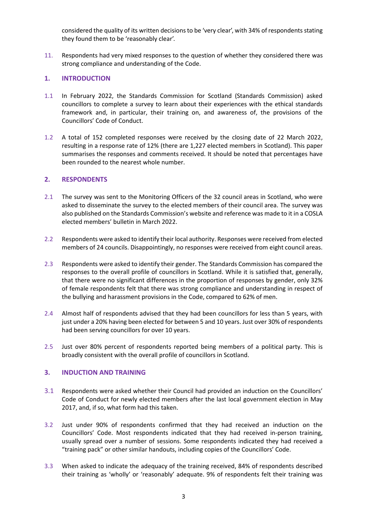considered the quality of its written decisions to be 'very clear', with 34% of respondents stating they found them to be 'reasonably clear'.

11. Respondents had very mixed responses to the question of whether they considered there was strong compliance and understanding of the Code.

# **1. INTRODUCTION**

- 1.1 In February 2022, the Standards Commission for Scotland (Standards Commission) asked councillors to complete a survey to learn about their experiences with the ethical standards framework and, in particular, their training on, and awareness of, the provisions of the Councillors' Code of Conduct.
- 1.2 A total of 152 completed responses were received by the closing date of 22 March 2022, resulting in a response rate of 12% (there are 1,227 elected members in Scotland). This paper summarises the responses and comments received. It should be noted that percentages have been rounded to the nearest whole number.

#### **2. RESPONDENTS**

- 2.1 The survey was sent to the Monitoring Officers of the 32 council areas in Scotland, who were asked to disseminate the survey to the elected members of their council area. The survey was also published on the Standards Commission's website and reference was made to it in a COSLA elected members' bulletin in March 2022.
- 2.2 Respondents were asked to identify their local authority. Responses were received from elected members of 24 councils. Disappointingly, no responses were received from eight council areas.
- 2.3 Respondents were asked to identify their gender. The Standards Commission has compared the responses to the overall profile of councillors in Scotland. While it is satisfied that, generally, that there were no significant differences in the proportion of responses by gender, only 32% of female respondents felt that there was strong compliance and understanding in respect of the bullying and harassment provisions in the Code, compared to 62% of men.
- 2.4 Almost half of respondents advised that they had been councillors for less than 5 years, with just under a 20% having been elected for between 5 and 10 years. Just over 30% of respondents had been serving councillors for over 10 years.
- 2.5 Just over 80% percent of respondents reported being members of a political party. This is broadly consistent with the overall profile of councillors in Scotland.

# **3. INDUCTION AND TRAINING**

- 3.1 Respondents were asked whether their Council had provided an induction on the Councillors' Code of Conduct for newly elected members after the last local government election in May 2017, and, if so, what form had this taken.
- 3.2 Just under 90% of respondents confirmed that they had received an induction on the Councillors' Code. Most respondents indicated that they had received in-person training, usually spread over a number of sessions. Some respondents indicated they had received a "training pack" or other similar handouts, including copies of the Councillors' Code.
- 3.3 When asked to indicate the adequacy of the training received, 84% of respondents described their training as 'wholly' or 'reasonably' adequate. 9% of respondents felt their training was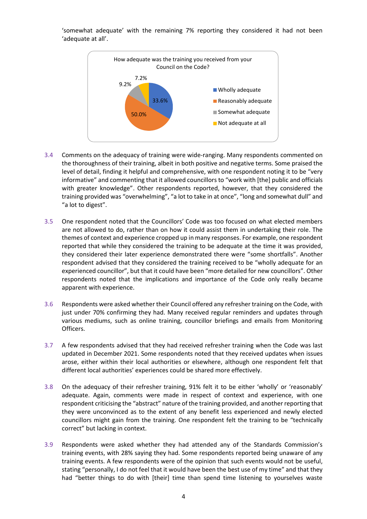'somewhat adequate' with the remaining 7% reporting they considered it had not been 'adequate at all'.



- 3.4 Comments on the adequacy of training were wide-ranging. Many respondents commented on the thoroughness of their training, albeit in both positive and negative terms. Some praised the level of detail, finding it helpful and comprehensive, with one respondent noting it to be "very informative" and commenting that it allowed councillors to "work with [the] public and officials with greater knowledge". Other respondents reported, however, that they considered the training provided was "overwhelming", "a lot to take in at once", "long and somewhat dull" and "a lot to digest".
- 3.5 One respondent noted that the Councillors' Code was too focused on what elected members are not allowed to do, rather than on how it could assist them in undertaking their role. The themes of context and experience cropped up in many responses. For example, one respondent reported that while they considered the training to be adequate at the time it was provided, they considered their later experience demonstrated there were "some shortfalls". Another respondent advised that they considered the training received to be "wholly adequate for an experienced councillor", but that it could have been "more detailed for new councillors". Other respondents noted that the implications and importance of the Code only really became apparent with experience.
- 3.6 Respondents were asked whether their Council offered any refresher training on the Code, with just under 70% confirming they had. Many received regular reminders and updates through various mediums, such as online training, councillor briefings and emails from Monitoring Officers.
- 3.7 A few respondents advised that they had received refresher training when the Code was last updated in December 2021. Some respondents noted that they received updates when issues arose, either within their local authorities or elsewhere, although one respondent felt that different local authorities' experiences could be shared more effectively.
- 3.8 On the adequacy of their refresher training, 91% felt it to be either 'wholly' or 'reasonably' adequate. Again, comments were made in respect of context and experience, with one respondent criticising the "abstract" nature of the training provided, and another reporting that they were unconvinced as to the extent of any benefit less experienced and newly elected councillors might gain from the training. One respondent felt the training to be "technically correct" but lacking in context.
- 3.9 Respondents were asked whether they had attended any of the Standards Commission's training events, with 28% saying they had. Some respondents reported being unaware of any training events. A few respondents were of the opinion that such events would not be useful, stating "personally, I do not feel that it would have been the best use of my time" and that they had "better things to do with [their] time than spend time listening to yourselves waste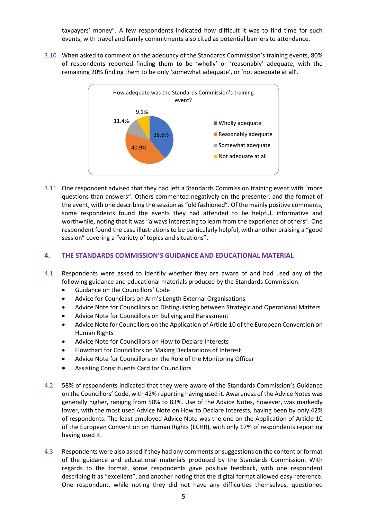taxpayers' money". A few respondents indicated how difficult it was to find time for such events, with travel and family commitments also cited as potential barriers to attendance.

3.10 When asked to comment on the adequacy of the Standards Commission's training events, 80% of respondents reported finding them to be 'wholly' or 'reasonably' adequate, with the remaining 20% finding them to be only 'somewhat adequate', or 'not adequate at all'.



3.11 One respondent advised that they had left a Standards Commission training event with "more questions than answers". Others commented negatively on the presenter, and the format of the event, with one describing the session as "old fashioned". Of the mainly positive comments, some respondents found the events they had attended to be helpful, informative and worthwhile, noting that it was "always interesting to learn from the experience of others". One respondent found the case illustrations to be particularly helpful, with another praising a "good session" covering a "variety of topics and situations".

#### **4. THE STANDARDS COMMISSION'S GUIDANCE AND EDUCATIONAL MATERIAL**

- 4.1 Respondents were asked to identify whether they are aware of and had used any of the following guidance and educational materials produced by the Standards Commission:
	- Guidance on the Councillors' Code
	- Advice for Councillors on Arm's Length External Organisations
	- Advice Note for Councillors on Distinguishing between Strategic and Operational Matters
	- Advice Note for Councillors on Bullying and Harassment
	- Advice Note for Councillors on the Application of Article 10 of the European Convention on Human Rights
	- Advice Note for Councillors on How to Declare Interests
	- Flowchart for Councillors on Making Declarations of Interest
	- Advice Note for Councillors on the Role of the Monitoring Officer
	- Assisting Constituents Card for Councillors
- 4.2 58% of respondents indicated that they were aware of the Standards Commission's Guidance on the Councillors' Code, with 42% reporting having used it. Awareness of the Advice Notes was generally higher, ranging from 58% to 83%. Use of the Advice Notes, however, was markedly lower, with the most used Advice Note on How to Declare Interests, having been by only 42% of respondents. The least employed Advice Note was the one on the Application of Article 10 of the European Convention on Human Rights (ECHR), with only 17% of respondents reporting having used it.
- 4.3 Respondents were also asked if they had any comments or suggestions on the content or format of the guidance and educational materials produced by the Standards Commission. With regards to the format, some respondents gave positive feedback, with one respondent describing it as "excellent", and another noting that the digital format allowed easy reference. One respondent, while noting they did not have any difficulties themselves, questioned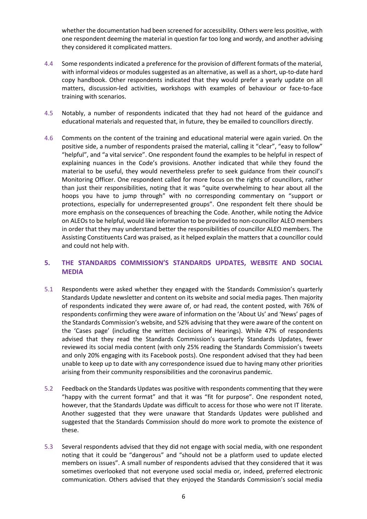whether the documentation had been screened for accessibility. Others were less positive, with one respondent deeming the material in question far too long and wordy, and another advising they considered it complicated matters.

- 4.4 Some respondents indicated a preference for the provision of different formats of the material, with informal videos or modules suggested as an alternative, as well as a short, up-to-date hard copy handbook. Other respondents indicated that they would prefer a yearly update on all matters, discussion-led activities, workshops with examples of behaviour or face-to-face training with scenarios.
- 4.5 Notably, a number of respondents indicated that they had not heard of the guidance and educational materials and requested that, in future, they be emailed to councillors directly.
- 4.6 Comments on the content of the training and educational material were again varied. On the positive side, a number of respondents praised the material, calling it "clear", "easy to follow" "helpful", and "a vital service". One respondent found the examples to be helpful in respect of explaining nuances in the Code's provisions. Another indicated that while they found the material to be useful, they would nevertheless prefer to seek guidance from their council's Monitoring Officer. One respondent called for more focus on the rights of councillors, rather than just their responsibilities, noting that it was "quite overwhelming to hear about all the hoops you have to jump through" with no corresponding commentary on "support or protections, especially for underrepresented groups". One respondent felt there should be more emphasis on the consequences of breaching the Code. Another, while noting the Advice on ALEOs to be helpful, would like information to be provided to non-councillor ALEO members in order that they may understand better the responsibilities of councillor ALEO members. The Assisting Constituents Card was praised, as it helped explain the matters that a councillor could and could not help with.

# **5. THE STANDARDS COMMISSION'S STANDARDS UPDATES, WEBSITE AND SOCIAL MEDIA**

- 5.1 Respondents were asked whether they engaged with the Standards Commission's quarterly Standards Update newsletter and content on its website and social media pages. Then majority of respondents indicated they were aware of, or had read, the content posted, with 76% of respondents confirming they were aware of information on the 'About Us' and 'News' pages of the Standards Commission's website, and 52% advising that they were aware of the content on the 'Cases page' (including the written decisions of Hearings). While 47% of respondents advised that they read the Standards Commission's quarterly Standards Updates, fewer reviewed its social media content (with only 25% reading the Standards Commission's tweets and only 20% engaging with its Facebook posts). One respondent advised that they had been unable to keep up to date with any correspondence issued due to having many other priorities arising from their community responsibilities and the coronavirus pandemic.
- 5.2 Feedback on the Standards Updates was positive with respondents commenting that they were "happy with the current format" and that it was "fit for purpose". One respondent noted, however, that the Standards Update was difficult to access for those who were not IT literate. Another suggested that they were unaware that Standards Updates were published and suggested that the Standards Commission should do more work to promote the existence of these.
- 5.3 Several respondents advised that they did not engage with social media, with one respondent noting that it could be "dangerous" and "should not be a platform used to update elected members on issues". A small number of respondents advised that they considered that it was sometimes overlooked that not everyone used social media or, indeed, preferred electronic communication. Others advised that they enjoyed the Standards Commission's social media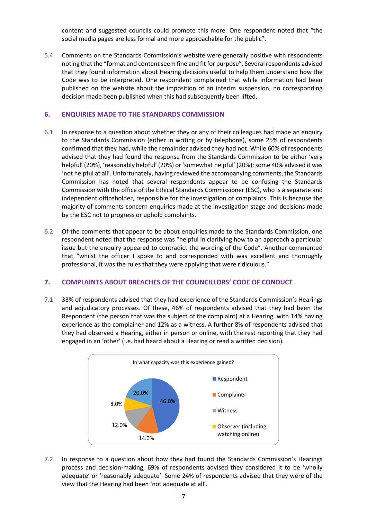content and suggested councils could promote this more. One respondent noted that "the social media pages are less formal and more approachable for the public".

5.4 Comments on the Standards Commission's website were generally positive with respondents noting that the "format and content seem fine and fit for purpose". Several respondents advised that they found information about Hearing decisions useful to help them understand how the Code was to be interpreted. One respondent complained that while information had been published on the website about the imposition of an interim suspension, no corresponding decision made been published when this had subsequently been lifted.

# **6. ENQUIRIES MADE TO THE STANDARDS COMMISSION**

- 6.1 In response to a question about whether they or any of their colleagues had made an enquiry to the Standards Commission (either in writing or by telephone), some 25% of respondents confirmed that they had, while the remainder advised they had not. While 60% of respondents advised that they had found the response from the Standards Commission to be either 'very helpful' (20%), 'reasonably helpful' (20%) or 'somewhat helpful' (20%); some 40% advised it was 'not helpful at all'. Unfortunately, having reviewed the accompanying comments, the Standards Commission has noted that several respondents appear to be confusing the Standards Commission with the office of the Ethical Standards Commissioner (ESC), who is a separate and independent officeholder, responsible for the investigation of complaints. This is because the majority of comments concern enquiries made at the investigation stage and decisions made by the ESC not to progress or uphold complaints.
- 6.2 Of the comments that appear to be about enquiries made to the Standards Commission, one respondent noted that the response was "helpful in clarifying how to an approach a particular issue but the enquiry appeared to contradict the wording of the Code". Another commented that "whilst the officer I spoke to and corresponded with was excellent and thoroughly professional, it was the rules that they were applying that were ridiculous."

# **7. COMPLAINTS ABOUT BREACHES OF THE COUNCILLORS' CODE OF CONDUCT**

7.1 33% of respondents advised that they had experience of the Standards Commission's Hearings and adjudicatory processes. Of these, 46% of respondents advised that they had been the Respondent (the person that was the subject of the complaint) at a Hearing, with 14% having experience as the complainer and 12% as a witness. A further 8% of respondents advised that they had observed a Hearing, either in person or online, with the rest reporting that they had engaged in an 'other' (i.e. had heard about a Hearing or read a written decision).



7.2 In response to a question about how they had found the Standards Commission's Hearings process and decision-making, 69% of respondents advised they considered it to be 'wholly adequate' or 'reasonably adequate'. Some 24% of respondents advised that they were of the view that the Hearing had been 'not adequate at all'.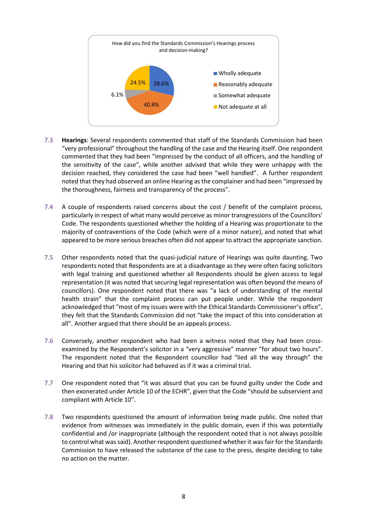

- 7.3 **Hearings**: Several respondents commented that staff of the Standards Commission had been "very professional" throughout the handling of the case and the Hearing itself. One respondent commented that they had been "impressed by the conduct of all officers, and the handling of the sensitivity of the case", while another advised that while they were unhappy with the decision reached, they considered the case had been "well handled". A further respondent noted that they had observed an online Hearing as the complainer and had been "impressed by the thoroughness, fairness and transparency of the process".
- 7.4 A couple of respondents raised concerns about the cost / benefit of the complaint process, particularly in respect of what many would perceive as minor transgressions of the Councillors' Code. The respondents questioned whether the holding of a Hearing was proportionate to the majority of contraventions of the Code (which were of a minor nature), and noted that what appeared to be more serious breaches often did not appear to attract the appropriate sanction.
- 7.5 Other respondents noted that the quasi-judicial nature of Hearings was quite daunting. Two respondents noted that Respondents are at a disadvantage as they were often facing solicitors with legal training and questioned whether all Respondents should be given access to legal representation (it was noted that securing legal representation was often beyond the means of councillors). One respondent noted that there was "a lack of understanding of the mental health strain" that the complaint process can put people under. While the respondent acknowledged that "most of my issues were with the Ethical Standards Commissioner's office", they felt that the Standards Commission did not "take the impact of this into consideration at all". Another argued that there should be an appeals process.
- 7.6 Conversely, another respondent who had been a witness noted that they had been crossexamined by the Respondent's solicitor in a "very aggressive" manner "for about two hours". The respondent noted that the Respondent councillor had "lied all the way through" the Hearing and that his solicitor had behaved as if it was a criminal trial.
- 7.7 One respondent noted that "it was absurd that you can be found guilty under the Code and then exonerated under Article 10 of the ECHR", given that the Code "should be subservient and compliant with Article 10".
- 7.8 Two respondents questioned the amount of information being made public. One noted that evidence from witnesses was immediately in the public domain, even if this was potentially confidential and /or inappropriate (although the respondent noted that is not always possible to control what was said). Another respondent questioned whether it was fair for the Standards Commission to have released the substance of the case to the press, despite deciding to take no action on the matter.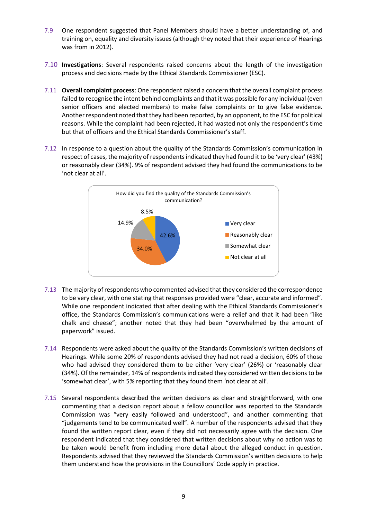- 7.9 One respondent suggested that Panel Members should have a better understanding of, and training on, equality and diversity issues (although they noted that their experience of Hearings was from in 2012).
- 7.10 **Investigations**: Several respondents raised concerns about the length of the investigation process and decisions made by the Ethical Standards Commissioner (ESC).
- 7.11 **Overall complaint process**: One respondent raised a concern that the overall complaint process failed to recognise the intent behind complaints and that it was possible for any individual (even senior officers and elected members) to make false complaints or to give false evidence. Another respondent noted that they had been reported, by an opponent, to the ESC for political reasons. While the complaint had been rejected, it had wasted not only the respondent's time but that of officers and the Ethical Standards Commissioner's staff.
- 7.12 In response to a question about the quality of the Standards Commission's communication in respect of cases, the majority of respondents indicated they had found it to be 'very clear' (43%) or reasonably clear (34%). 9% of respondent advised they had found the communications to be 'not clear at all'.



- 7.13 The majority of respondents who commented advised that they considered the correspondence to be very clear, with one stating that responses provided were "clear, accurate and informed". While one respondent indicated that after dealing with the Ethical Standards Commissioner's office, the Standards Commission's communications were a relief and that it had been "like chalk and cheese"; another noted that they had been "overwhelmed by the amount of paperwork" issued.
- 7.14 Respondents were asked about the quality of the Standards Commission's written decisions of Hearings. While some 20% of respondents advised they had not read a decision, 60% of those who had advised they considered them to be either 'very clear' (26%) or 'reasonably clear (34%). Of the remainder, 14% of respondents indicated they considered written decisions to be 'somewhat clear', with 5% reporting that they found them 'not clear at all'.
- 7.15 Several respondents described the written decisions as clear and straightforward, with one commenting that a decision report about a fellow councillor was reported to the Standards Commission was "very easily followed and understood", and another commenting that "judgements tend to be communicated well". A number of the respondents advised that they found the written report clear, even if they did not necessarily agree with the decision. One respondent indicated that they considered that written decisions about why no action was to be taken would benefit from including more detail about the alleged conduct in question. Respondents advised that they reviewed the Standards Commission's written decisions to help them understand how the provisions in the Councillors' Code apply in practice.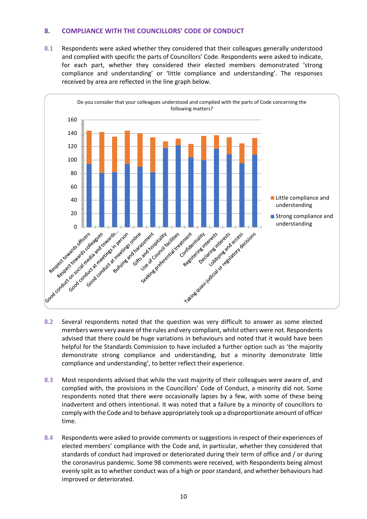# **8. COMPLIANCE WITH THE COUNCILLORS' CODE OF CONDUCT**

8.1 Respondents were asked whether they considered that their colleagues generally understood and complied with specific the parts of Councillors' Code. Respondents were asked to indicate, for each part, whether they considered their elected members demonstrated 'strong compliance and understanding' or 'little compliance and understanding'. The responses received by area are reflected in the line graph below.



- 8.2 Several respondents noted that the question was very difficult to answer as some elected members were very aware of the rules and very compliant, whilst others were not. Respondents advised that there could be huge variations in behaviours and noted that it would have been helpful for the Standards Commission to have included a further option such as 'the majority demonstrate strong compliance and understanding, but a minority demonstrate little compliance and understanding', to better reflect their experience.
- 8.3 Most respondents advised that while the vast majority of their colleagues were aware of, and complied with, the provisions in the Councillors' Code of Conduct, a minority did not. Some respondents noted that there were occasionally lapses by a few, with some of these being inadvertent and others intentional. It was noted that a failure by a minority of councillors to comply with the Code and to behave appropriately took up a disproportionate amount of officer time.
- 8.4 Respondents were asked to provide comments or suggestions in respect of their experiences of elected members' compliance with the Code and, in particular, whether they considered that standards of conduct had improved or deteriorated during their term of office and / or during the coronavirus pandemic. Some 98 comments were received, with Respondents being almost evenly split as to whether conduct was of a high or poor standard, and whether behaviours had improved or deteriorated.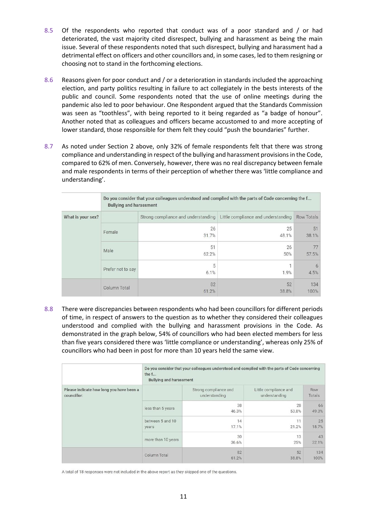- 8.5 Of the respondents who reported that conduct was of a poor standard and / or had deteriorated, the vast majority cited disrespect, bullying and harassment as being the main issue. Several of these respondents noted that such disrespect, bullying and harassment had a detrimental effect on officers and other councillors and, in some cases, led to them resigning or choosing not to stand in the forthcoming elections.
- 8.6 Reasons given for poor conduct and / or a deterioration in standards included the approaching election, and party politics resulting in failure to act collegiately in the bests interests of the public and council. Some respondents noted that the use of online meetings during the pandemic also led to poor behaviour. One Respondent argued that the Standards Commission was seen as "toothless", with being reported to it being regarded as "a badge of honour". Another noted that as colleagues and officers became accustomed to and more accepting of lower standard, those responsible for them felt they could "push the boundaries" further.
- 8.7 As noted under Section 2 above, only 32% of female respondents felt that there was strong compliance and understanding in respect of the bullying and harassment provisions in the Code, compared to 62% of men. Conversely, however, there was no real discrepancy between female and male respondents in terms of their perception of whether there was 'little compliance and understanding'.

| What is your sex? | Do you consider that your colleagues understood and complied with the parts of Code concerning the f<br><b>Bullying and harassment</b> |                                     |                                     |                   |  |  |
|-------------------|----------------------------------------------------------------------------------------------------------------------------------------|-------------------------------------|-------------------------------------|-------------------|--|--|
|                   |                                                                                                                                        | Strong compliance and understanding | Little compliance and understanding | <b>Row Totals</b> |  |  |
|                   | Female                                                                                                                                 | 26<br>31.7%                         | 25<br>48.1%                         | 51<br>38.1%       |  |  |
|                   | Male                                                                                                                                   | 51<br>62.2%                         | 26<br>50%                           | 77<br>57.5%       |  |  |
|                   | Prefer not to say                                                                                                                      | 5<br>6.1%                           | 1<br>1.9%                           | 6<br>4.5%         |  |  |
|                   | Column Total                                                                                                                           | 82<br>61.2%                         | 52<br>38.8%                         | 134<br>100%       |  |  |

8.8 There were discrepancies between respondents who had been councillors for different periods of time, in respect of answers to the question as to whether they considered their colleagues understood and complied with the bullying and harassment provisions in the Code. As demonstrated in the graph below, 54% of councillors who had been elected members for less than five years considered there was 'little compliance or understanding', whereas only 25% of councillors who had been in post for more than 10 years held the same view.

|                                                         | Do you consider that your colleagues understood and complied with the parts of Code concerning<br>the $f$<br><b>Bullying and harassment</b> |                                        |                                        |                      |  |
|---------------------------------------------------------|---------------------------------------------------------------------------------------------------------------------------------------------|----------------------------------------|----------------------------------------|----------------------|--|
| Please indicate how long you have been a<br>councillor: |                                                                                                                                             | Strong compliance and<br>understanding | Little compliance and<br>understanding | <b>Row</b><br>Totals |  |
|                                                         | less than 5 years                                                                                                                           | 38<br>46.3%                            | 28<br>53.8%                            | 66<br>49.3%          |  |
|                                                         | between 5 and 10<br>years                                                                                                                   | 14<br>17.1%                            | 11<br>21.2%                            | 25<br>18.7%          |  |
|                                                         | more than 10 years                                                                                                                          | 30<br>36.6%                            | 13<br>25%                              | 43<br>32.1%          |  |
|                                                         | Column Total                                                                                                                                | 82<br>61.2%                            | 52<br>38.8%                            | 134<br>100%          |  |

A total of 18 responses were not included in the above report as they skipped one of the questions.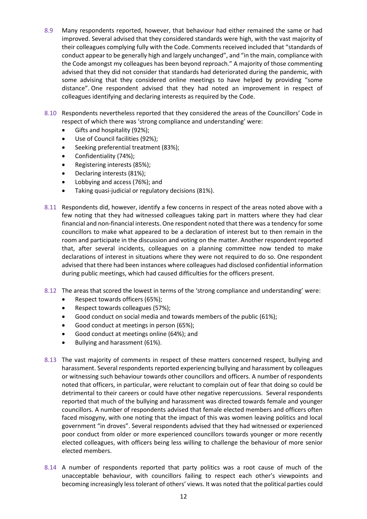- 8.9 Many respondents reported, however, that behaviour had either remained the same or had improved. Several advised that they considered standards were high, with the vast majority of their colleagues complying fully with the Code. Comments received included that "standards of conduct appear to be generally high and largely unchanged", and "in the main, compliance with the Code amongst my colleagues has been beyond reproach." A majority of those commenting advised that they did not consider that standards had deteriorated during the pandemic, with some advising that they considered online meetings to have helped by providing "some distance". One respondent advised that they had noted an improvement in respect of colleagues identifying and declaring interests as required by the Code.
- 8.10 Respondents nevertheless reported that they considered the areas of the Councillors' Code in respect of which there was 'strong compliance and understanding' were:
	- Gifts and hospitality (92%);
	- Use of Council facilities (92%);
	- Seeking preferential treatment (83%);
	- Confidentiality (74%);
	- Registering interests (85%);
	- Declaring interests (81%);
	- Lobbying and access (76%); and
	- Taking quasi-judicial or regulatory decisions (81%).
- 8.11 Respondents did, however, identify a few concerns in respect of the areas noted above with a few noting that they had witnessed colleagues taking part in matters where they had clear financial and non-financial interests. One respondent noted that there was a tendency for some councillors to make what appeared to be a declaration of interest but to then remain in the room and participate in the discussion and voting on the matter. Another respondent reported that, after several incidents, colleagues on a planning committee now tended to make declarations of interest in situations where they were not required to do so. One respondent advised that there had been instances where colleagues had disclosed confidential information during public meetings, which had caused difficulties for the officers present.
- 8.12 The areas that scored the lowest in terms of the 'strong compliance and understanding' were:
	- Respect towards officers (65%);
	- Respect towards colleagues (57%);
	- Good conduct on social media and towards members of the public (61%);
	- Good conduct at meetings in person (65%);
	- Good conduct at meetings online (64%); and
	- Bullying and harassment (61%).
- 8.13 The vast majority of comments in respect of these matters concerned respect, bullying and harassment. Several respondents reported experiencing bullying and harassment by colleagues or witnessing such behaviour towards other councillors and officers. A number of respondents noted that officers, in particular, were reluctant to complain out of fear that doing so could be detrimental to their careers or could have other negative repercussions. Several respondents reported that much of the bullying and harassment was directed towards female and younger councillors. A number of respondents advised that female elected members and officers often faced misogyny, with one noting that the impact of this was women leaving politics and local government "in droves". Several respondents advised that they had witnessed or experienced poor conduct from older or more experienced councillors towards younger or more recently elected colleagues, with officers being less willing to challenge the behaviour of more senior elected members.
- 8.14 A number of respondents reported that party politics was a root cause of much of the unacceptable behaviour, with councillors failing to respect each other's viewpoints and becoming increasingly less tolerant of others' views. It was noted that the political parties could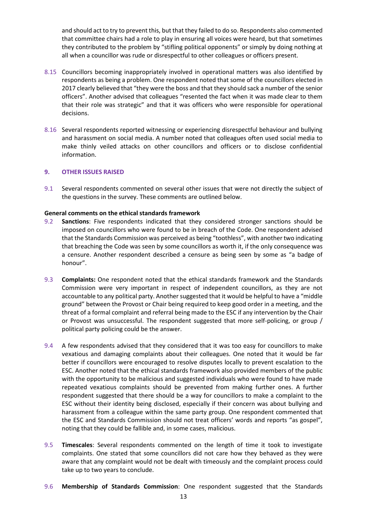and should act to try to prevent this, but that they failed to do so. Respondents also commented that committee chairs had a role to play in ensuring all voices were heard, but that sometimes they contributed to the problem by "stifling political opponents" or simply by doing nothing at all when a councillor was rude or disrespectful to other colleagues or officers present.

- 8.15 Councillors becoming inappropriately involved in operational matters was also identified by respondents as being a problem. One respondent noted that some of the councillors elected in 2017 clearly believed that "they were the boss and that they should sack a number of the senior officers". Another advised that colleagues "resented the fact when it was made clear to them that their role was strategic" and that it was officers who were responsible for operational decisions.
- 8.16 Several respondents reported witnessing or experiencing disrespectful behaviour and bullying and harassment on social media. A number noted that colleagues often used social media to make thinly veiled attacks on other councillors and officers or to disclose confidential information.

#### **9. OTHER ISSUES RAISED**

9.1 Several respondents commented on several other issues that were not directly the subject of the questions in the survey. These comments are outlined below.

#### **General comments on the ethical standards framework**

- 9.2 **Sanctions**: Five respondents indicated that they considered stronger sanctions should be imposed on councillors who were found to be in breach of the Code. One respondent advised that the Standards Commission was perceived as being "toothless", with another two indicating that breaching the Code was seen by some councillors as worth it, if the only consequence was a censure. Another respondent described a censure as being seen by some as "a badge of honour".
- 9.3 **Complaints:** One respondent noted that the ethical standards framework and the Standards Commission were very important in respect of independent councillors, as they are not accountable to any political party. Another suggested that it would be helpful to have a "middle ground" between the Provost or Chair being required to keep good order in a meeting, and the threat of a formal complaint and referral being made to the ESC if any intervention by the Chair or Provost was unsuccessful. The respondent suggested that more self-policing, or group / political party policing could be the answer.
- 9.4 A few respondents advised that they considered that it was too easy for councillors to make vexatious and damaging complaints about their colleagues. One noted that it would be far better if councillors were encouraged to resolve disputes locally to prevent escalation to the ESC. Another noted that the ethical standards framework also provided members of the public with the opportunity to be malicious and suggested individuals who were found to have made repeated vexatious complaints should be prevented from making further ones. A further respondent suggested that there should be a way for councillors to make a complaint to the ESC without their identity being disclosed, especially if their concern was about bullying and harassment from a colleague within the same party group. One respondent commented that the ESC and Standards Commission should not treat officers' words and reports "as gospel", noting that they could be fallible and, in some cases, malicious.
- 9.5 **Timescales**: Several respondents commented on the length of time it took to investigate complaints. One stated that some councillors did not care how they behaved as they were aware that any complaint would not be dealt with timeously and the complaint process could take up to two years to conclude.
- 9.6 **Membership of Standards Commission**: One respondent suggested that the Standards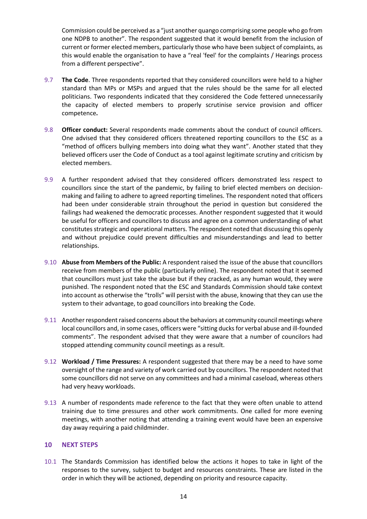Commission could be perceived as a "just another quango comprising some people who go from one NDPB to another". The respondent suggested that it would benefit from the inclusion of current or former elected members, particularly those who have been subject of complaints, as this would enable the organisation to have a "real 'feel' for the complaints / Hearings process from a different perspective".

- 9.7 **The Code**. Three respondents reported that they considered councillors were held to a higher standard than MPs or MSPs and argued that the rules should be the same for all elected politicians. Two respondents indicated that they considered the Code fettered unnecessarily the capacity of elected members to properly scrutinise service provision and officer competence**.**
- 9.8 **Officer conduct:** Several respondents made comments about the conduct of council officers. One advised that they considered officers threatened reporting councillors to the ESC as a "method of officers bullying members into doing what they want". Another stated that they believed officers user the Code of Conduct as a tool against legitimate scrutiny and criticism by elected members.
- 9.9 A further respondent advised that they considered officers demonstrated less respect to councillors since the start of the pandemic, by failing to brief elected members on decisionmaking and failing to adhere to agreed reporting timelines. The respondent noted that officers had been under considerable strain throughout the period in question but considered the failings had weakened the democratic processes. Another respondent suggested that it would be useful for officers and councillors to discuss and agree on a common understanding of what constitutes strategic and operational matters. The respondent noted that discussing this openly and without prejudice could prevent difficulties and misunderstandings and lead to better relationships.
- 9.10 **Abuse from Members of the Public:** A respondent raised the issue of the abuse that councillors receive from members of the public (particularly online). The respondent noted that it seemed that councillors must just take the abuse but if they cracked, as any human would, they were punished. The respondent noted that the ESC and Standards Commission should take context into account as otherwise the "trolls" will persist with the abuse, knowing that they can use the system to their advantage, to goad councillors into breaking the Code.
- 9.11 Another respondent raised concerns about the behaviors at community council meetings where local councillors and, in some cases, officers were "sitting ducks for verbal abuse and ill-founded comments". The respondent advised that they were aware that a number of councilors had stopped attending community council meetings as a result.
- 9.12 **Workload / Time Pressures:** A respondent suggested that there may be a need to have some oversight of the range and variety of work carried out by councillors. The respondent noted that some councillors did not serve on any committees and had a minimal caseload, whereas others had very heavy workloads.
- 9.13 A number of respondents made reference to the fact that they were often unable to attend training due to time pressures and other work commitments. One called for more evening meetings, with another noting that attending a training event would have been an expensive day away requiring a paid childminder.

# **10 NEXT STEPS**

10.1 The Standards Commission has identified below the actions it hopes to take in light of the responses to the survey, subject to budget and resources constraints. These are listed in the order in which they will be actioned, depending on priority and resource capacity.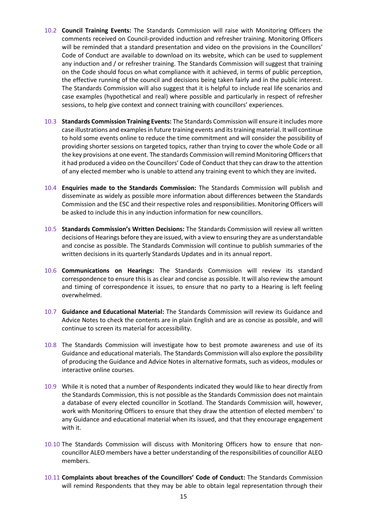- 10.2 **Council Training Events:** The Standards Commission will raise with Monitoring Officers the comments received on Council-provided induction and refresher training. Monitoring Officers will be reminded that a standard presentation and video on the provisions in the Councillors' Code of Conduct are available to download on its website, which can be used to supplement any induction and / or refresher training. The Standards Commission will suggest that training on the Code should focus on what compliance with it achieved, in terms of public perception, the effective running of the council and decisions being taken fairly and in the public interest. The Standards Commission will also suggest that it is helpful to include real life scenarios and case examples (hypothetical and real) where possible and particularly in respect of refresher sessions, to help give context and connect training with councillors' experiences.
- 10.3 **Standards Commission Training Events:** The Standards Commission will ensure it includes more case illustrations and examplesin future training events and its training material. It will continue to hold some events online to reduce the time commitment and will consider the possibility of providing shorter sessions on targeted topics, rather than trying to cover the whole Code or all the key provisions at one event. The standards Commission will remind Monitoring Officers that it had produced a video on the Councillors' Code of Conduct that they can draw to the attention of any elected member who is unable to attend any training event to which they are invited**.**
- 10.4 **Enquiries made to the Standards Commission:** The Standards Commission will publish and disseminate as widely as possible more information about differences between the Standards Commission and the ESC and their respective roles and responsibilities. Monitoring Officers will be asked to include this in any induction information for new councillors.
- 10.5 **Standards Commission's Written Decisions:** The Standards Commission will review all written decisions of Hearings before they are issued, with a view to ensuring they are as understandable and concise as possible. The Standards Commission will continue to publish summaries of the written decisions in its quarterly Standards Updates and in its annual report.
- 10.6 **Communications on Hearings:** The Standards Commission will review its standard correspondence to ensure this is as clear and concise as possible. It will also review the amount and timing of correspondence it issues, to ensure that no party to a Hearing is left feeling overwhelmed.
- 10.7 **Guidance and Educational Material:** The Standards Commission will review its Guidance and Advice Notes to check the contents are in plain English and are as concise as possible, and will continue to screen its material for accessibility.
- 10.8 The Standards Commission will investigate how to best promote awareness and use of its Guidance and educational materials. The Standards Commission will also explore the possibility of producing the Guidance and Advice Notes in alternative formats, such as videos, modules or interactive online courses.
- 10.9 While it is noted that a number of Respondents indicated they would like to hear directly from the Standards Commission, this is not possible as the Standards Commission does not maintain a database of every elected councillor in Scotland. The Standards Commission will, however, work with Monitoring Officers to ensure that they draw the attention of elected members' to any Guidance and educational material when its issued, and that they encourage engagement with it.
- 10.10 The Standards Commission will discuss with Monitoring Officers how to ensure that noncouncillor ALEO members have a better understanding of the responsibilities of councillor ALEO members.
- 10.11 **Complaints about breaches of the Councillors' Code of Conduct:** The Standards Commission will remind Respondents that they may be able to obtain legal representation through their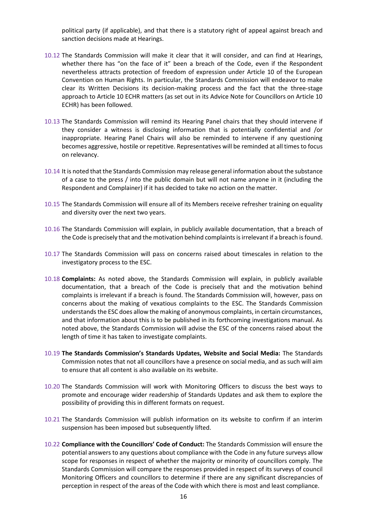political party (if applicable), and that there is a statutory right of appeal against breach and sanction decisions made at Hearings.

- 10.12 The Standards Commission will make it clear that it will consider, and can find at Hearings, whether there has "on the face of it" been a breach of the Code, even if the Respondent nevertheless attracts protection of freedom of expression under Article 10 of the European Convention on Human Rights. In particular, the Standards Commission will endeavor to make clear its Written Decisions its decision-making process and the fact that the three-stage approach to Article 10 ECHR matters (as set out in its Advice Note for Councillors on Article 10 ECHR) has been followed.
- 10.13 The Standards Commission will remind its Hearing Panel chairs that they should intervene if they consider a witness is disclosing information that is potentially confidential and /or inappropriate. Hearing Panel Chairs will also be reminded to intervene if any questioning becomes aggressive, hostile or repetitive. Representatives will be reminded at all times to focus on relevancy.
- 10.14 It is noted that the Standards Commission may release general information about the substance of a case to the press / into the public domain but will not name anyone in it (including the Respondent and Complainer) if it has decided to take no action on the matter.
- 10.15 The Standards Commission will ensure all of its Members receive refresher training on equality and diversity over the next two years.
- 10.16 The Standards Commission will explain, in publicly available documentation, that a breach of the Code is precisely that and the motivation behind complaints is irrelevant if a breach is found.
- 10.17 The Standards Commission will pass on concerns raised about timescales in relation to the investigatory process to the ESC.
- 10.18 **Complaints:** As noted above, the Standards Commission will explain, in publicly available documentation, that a breach of the Code is precisely that and the motivation behind complaints is irrelevant if a breach is found. The Standards Commission will, however, pass on concerns about the making of vexatious complaints to the ESC. The Standards Commission understands the ESC does allow the making of anonymous complaints, in certain circumstances, and that information about this is to be published in its forthcoming investigations manual. As noted above, the Standards Commission will advise the ESC of the concerns raised about the length of time it has taken to investigate complaints.
- 10.19 **The Standards Commission's Standards Updates, Website and Social Media:** The Standards Commission notes that not all councillors have a presence on social media, and as such will aim to ensure that all content is also available on its website.
- 10.20 The Standards Commission will work with Monitoring Officers to discuss the best ways to promote and encourage wider readership of Standards Updates and ask them to explore the possibility of providing this in different formats on request.
- 10.21 The Standards Commission will publish information on its website to confirm if an interim suspension has been imposed but subsequently lifted.
- 10.22 **Compliance with the Councillors' Code of Conduct:** The Standards Commission will ensure the potential answers to any questions about compliance with the Code in any future surveys allow scope for responses in respect of whether the majority or minority of councillors comply. The Standards Commission will compare the responses provided in respect of its surveys of council Monitoring Officers and councillors to determine if there are any significant discrepancies of perception in respect of the areas of the Code with which there is most and least compliance.